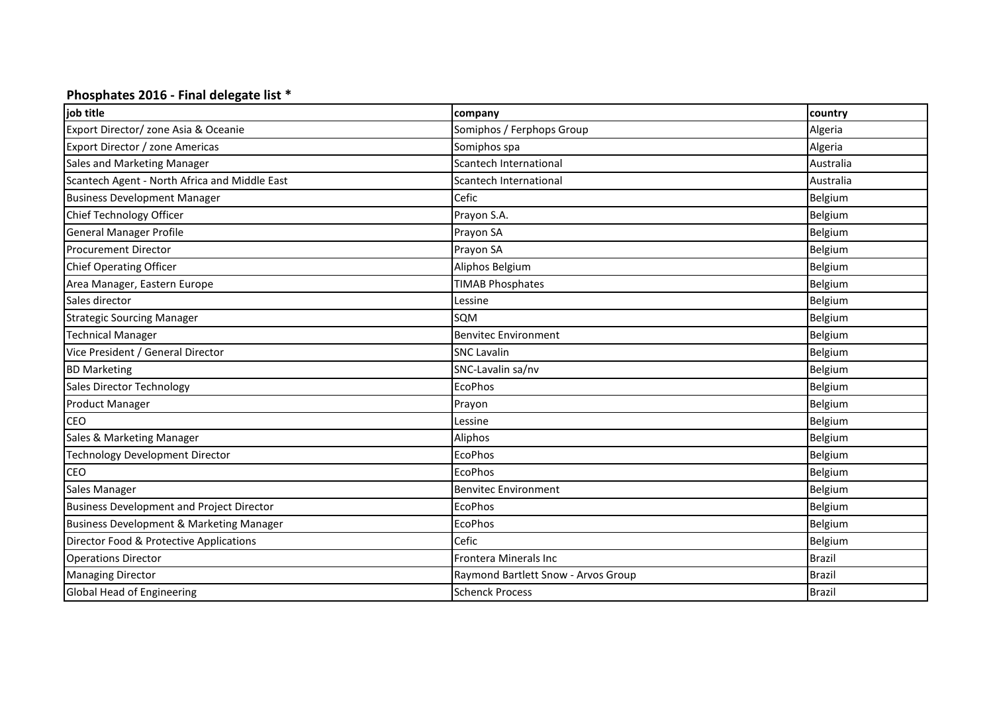## **Phosphates 2016 - Final delegate list \***

| job title                                        | company                             | country       |
|--------------------------------------------------|-------------------------------------|---------------|
| Export Director/ zone Asia & Oceanie             | Somiphos / Ferphops Group           | Algeria       |
| Export Director / zone Americas                  | Somiphos spa                        | Algeria       |
| Sales and Marketing Manager                      | Scantech International              | Australia     |
| Scantech Agent - North Africa and Middle East    | Scantech International              | Australia     |
| <b>Business Development Manager</b>              | Cefic                               | Belgium       |
| Chief Technology Officer                         | Prayon S.A.                         | Belgium       |
| <b>General Manager Profile</b>                   | Prayon SA                           | Belgium       |
| <b>Procurement Director</b>                      | Prayon SA                           | Belgium       |
| <b>Chief Operating Officer</b>                   | Aliphos Belgium                     | Belgium       |
| Area Manager, Eastern Europe                     | <b>TIMAB Phosphates</b>             | Belgium       |
| Sales director                                   | Lessine                             | Belgium       |
| <b>Strategic Sourcing Manager</b>                | SQM                                 | Belgium       |
| <b>Technical Manager</b>                         | <b>Benvitec Environment</b>         | Belgium       |
| Vice President / General Director                | <b>SNC Lavalin</b>                  | Belgium       |
| <b>BD Marketing</b>                              | SNC-Lavalin sa/nv                   | Belgium       |
| Sales Director Technology                        | <b>EcoPhos</b>                      | Belgium       |
| <b>Product Manager</b>                           | Prayon                              | Belgium       |
| <b>CEO</b>                                       | Lessine                             | Belgium       |
| Sales & Marketing Manager                        | Aliphos                             | Belgium       |
| <b>Technology Development Director</b>           | <b>EcoPhos</b>                      | Belgium       |
| <b>CEO</b>                                       | <b>EcoPhos</b>                      | Belgium       |
| Sales Manager                                    | <b>Benvitec Environment</b>         | Belgium       |
| <b>Business Development and Project Director</b> | <b>EcoPhos</b>                      | Belgium       |
| Business Development & Marketing Manager         | <b>EcoPhos</b>                      | Belgium       |
| Director Food & Protective Applications          | Cefic                               | Belgium       |
| <b>Operations Director</b>                       | Frontera Minerals Inc               | <b>Brazil</b> |
| <b>Managing Director</b>                         | Raymond Bartlett Snow - Arvos Group | <b>Brazil</b> |
| Global Head of Engineering                       | <b>Schenck Process</b>              | <b>Brazil</b> |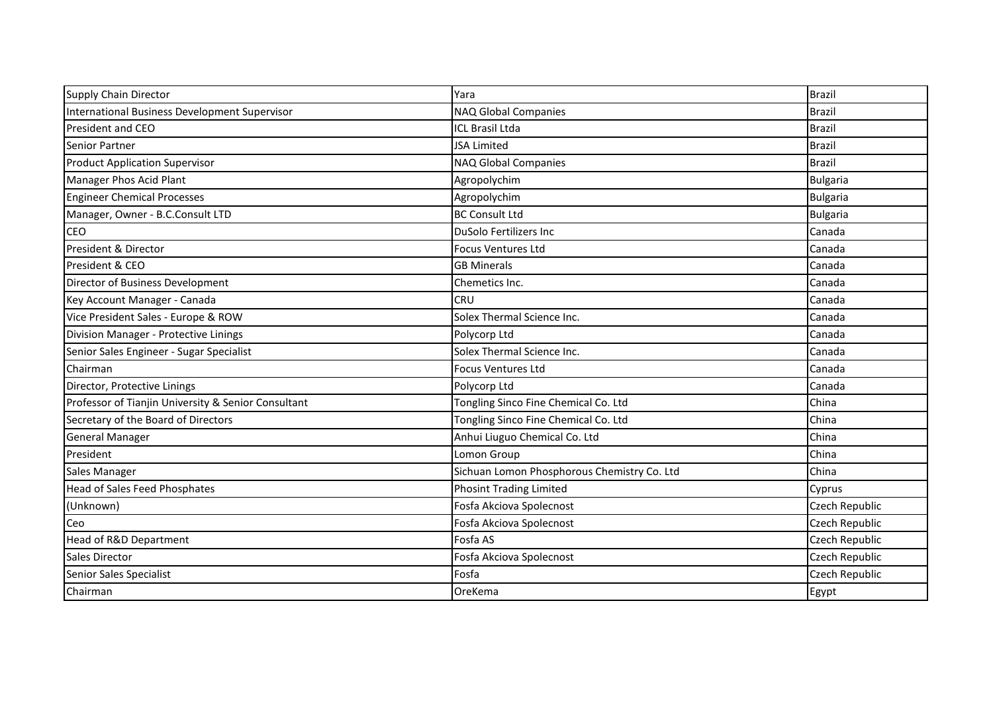| Supply Chain Director                               | Yara                                        | <b>Brazil</b>   |
|-----------------------------------------------------|---------------------------------------------|-----------------|
| International Business Development Supervisor       | NAQ Global Companies                        | <b>Brazil</b>   |
| <b>President and CEO</b>                            | <b>ICL Brasil Ltda</b>                      | <b>Brazil</b>   |
| Senior Partner                                      | <b>JSA Limited</b>                          | <b>Brazil</b>   |
| <b>Product Application Supervisor</b>               | NAQ Global Companies                        | <b>Brazil</b>   |
| Manager Phos Acid Plant                             | Agropolychim                                | Bulgaria        |
| <b>Engineer Chemical Processes</b>                  | Agropolychim                                | Bulgaria        |
| Manager, Owner - B.C.Consult LTD                    | <b>BC Consult Ltd</b>                       | <b>Bulgaria</b> |
| CEO                                                 | DuSolo Fertilizers Inc                      | Canada          |
| President & Director                                | <b>Focus Ventures Ltd</b>                   | Canada          |
| President & CEO                                     | <b>GB Minerals</b>                          | Canada          |
| Director of Business Development                    | Chemetics Inc.                              | Canada          |
| Key Account Manager - Canada                        | <b>CRU</b>                                  | Canada          |
| Vice President Sales - Europe & ROW                 | Solex Thermal Science Inc.                  | Canada          |
| Division Manager - Protective Linings               | Polycorp Ltd                                | Canada          |
| Senior Sales Engineer - Sugar Specialist            | Solex Thermal Science Inc.                  | Canada          |
| Chairman                                            | <b>Focus Ventures Ltd</b>                   | Canada          |
| Director, Protective Linings                        | Polycorp Ltd                                | Canada          |
| Professor of Tianjin University & Senior Consultant | Tongling Sinco Fine Chemical Co. Ltd        | China           |
| Secretary of the Board of Directors                 | Tongling Sinco Fine Chemical Co. Ltd        | China           |
| <b>General Manager</b>                              | Anhui Liuguo Chemical Co. Ltd               | China           |
| President                                           | Lomon Group                                 | China           |
| Sales Manager                                       | Sichuan Lomon Phosphorous Chemistry Co. Ltd | China           |
| <b>Head of Sales Feed Phosphates</b>                | <b>Phosint Trading Limited</b>              | Cyprus          |
| (Unknown)                                           | Fosfa Akciova Spolecnost                    | Czech Republic  |
| Ceo                                                 | Fosfa Akciova Spolecnost                    | Czech Republic  |
| Head of R&D Department                              | Fosfa AS                                    | Czech Republic  |
| <b>Sales Director</b>                               | Fosfa Akciova Spolecnost                    | Czech Republic  |
| Senior Sales Specialist                             | Fosfa                                       | Czech Republic  |
| Chairman                                            | OreKema                                     | Egypt           |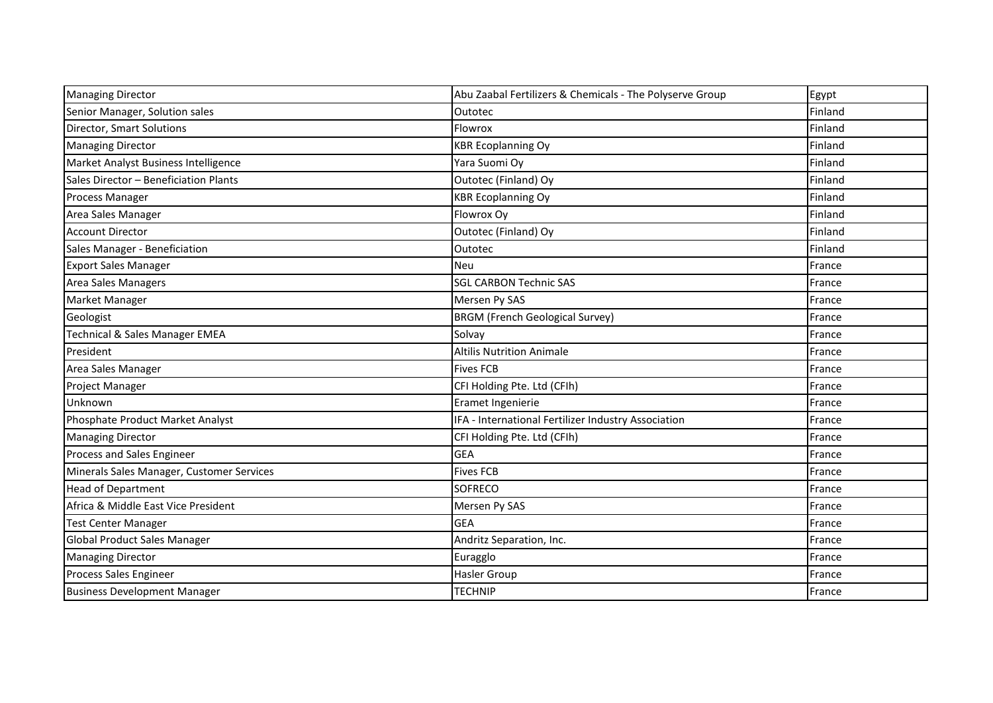| <b>Managing Director</b>                  | Abu Zaabal Fertilizers & Chemicals - The Polyserve Group | Egypt   |
|-------------------------------------------|----------------------------------------------------------|---------|
| Senior Manager, Solution sales            | Outotec                                                  | Finland |
|                                           |                                                          |         |
| <b>Director, Smart Solutions</b>          | Flowrox                                                  | Finland |
| <b>Managing Director</b>                  | <b>KBR Ecoplanning Oy</b>                                | Finland |
| Market Analyst Business Intelligence      | Yara Suomi Oy                                            | Finland |
| Sales Director - Beneficiation Plants     | Outotec (Finland) Oy                                     | Finland |
| <b>Process Manager</b>                    | <b>KBR Ecoplanning Oy</b>                                | Finland |
| Area Sales Manager                        | Flowrox Oy                                               | Finland |
| <b>Account Director</b>                   | Outotec (Finland) Oy                                     | Finland |
| Sales Manager - Beneficiation             | Outotec                                                  | Finland |
| <b>Export Sales Manager</b>               | <b>Neu</b>                                               | France  |
| Area Sales Managers                       | <b>SGL CARBON Technic SAS</b>                            | France  |
| Market Manager                            | Mersen Py SAS                                            | France  |
| Geologist                                 | <b>BRGM (French Geological Survey)</b>                   | France  |
| <b>Technical &amp; Sales Manager EMEA</b> | Solvay                                                   | France  |
| President                                 | <b>Altilis Nutrition Animale</b>                         | France  |
| Area Sales Manager                        | <b>Fives FCB</b>                                         | France  |
| <b>Project Manager</b>                    | CFI Holding Pte. Ltd (CFIh)                              | France  |
| Unknown                                   | Eramet Ingenierie                                        | France  |
| Phosphate Product Market Analyst          | IFA - International Fertilizer Industry Association      | France  |
| <b>Managing Director</b>                  | CFI Holding Pte. Ltd (CFIh)                              | France  |
| Process and Sales Engineer                | <b>GEA</b>                                               | France  |
| Minerals Sales Manager, Customer Services | <b>Fives FCB</b>                                         | France  |
| <b>Head of Department</b>                 | <b>SOFRECO</b>                                           | France  |
| Africa & Middle East Vice President       | Mersen Py SAS                                            | France  |
| <b>Test Center Manager</b>                | <b>GEA</b>                                               | France  |
| <b>Global Product Sales Manager</b>       | Andritz Separation, Inc.                                 | France  |
| <b>Managing Director</b>                  | Euragglo                                                 | France  |
| Process Sales Engineer                    | <b>Hasler Group</b>                                      | France  |
| <b>Business Development Manager</b>       | <b>TECHNIP</b>                                           | France  |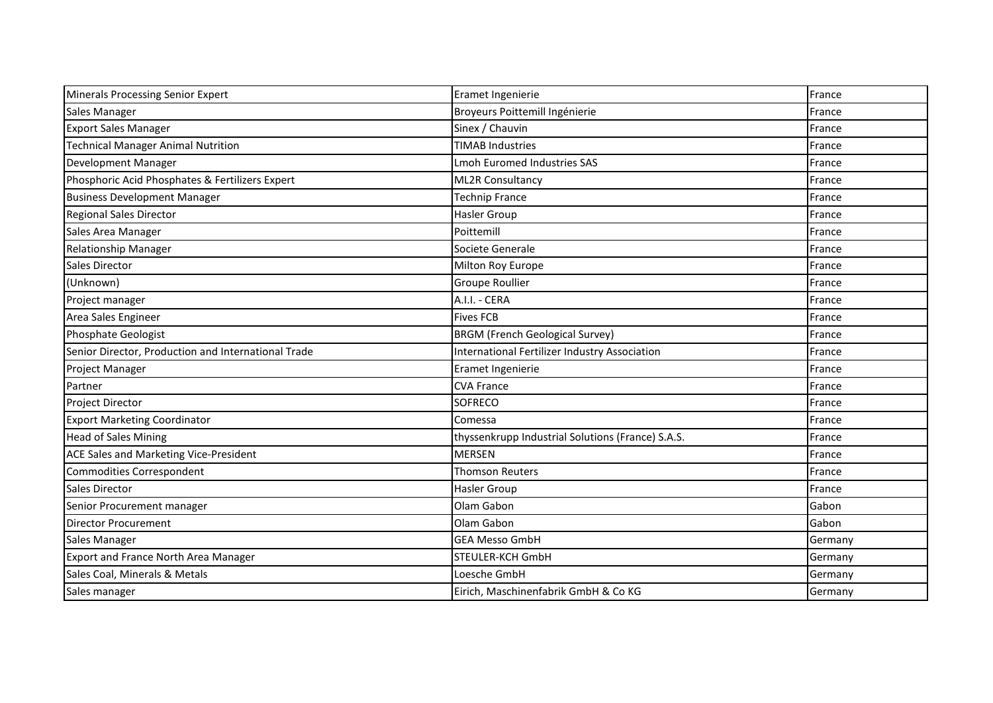| Minerals Processing Senior Expert                   | Eramet Ingenierie                                 | France  |
|-----------------------------------------------------|---------------------------------------------------|---------|
| Sales Manager                                       | Broyeurs Poittemill Ingénierie                    | France  |
| <b>Export Sales Manager</b>                         | Sinex / Chauvin                                   | France  |
| <b>Technical Manager Animal Nutrition</b>           | <b>TIMAB Industries</b>                           | France  |
| Development Manager                                 | <b>Lmoh Euromed Industries SAS</b>                | France  |
| Phosphoric Acid Phosphates & Fertilizers Expert     | <b>ML2R Consultancy</b>                           | France  |
| <b>Business Development Manager</b>                 | <b>Technip France</b>                             | France  |
| <b>Regional Sales Director</b>                      | Hasler Group                                      | France  |
| Sales Area Manager                                  | Poittemill                                        | France  |
| <b>Relationship Manager</b>                         | Societe Generale                                  | France  |
| Sales Director                                      | Milton Roy Europe                                 | France  |
| (Unknown)                                           | Groupe Roullier                                   | France  |
| Project manager                                     | A.I.I. - CERA                                     | France  |
| Area Sales Engineer                                 | <b>Fives FCB</b>                                  | France  |
| <b>Phosphate Geologist</b>                          | <b>BRGM (French Geological Survey)</b>            | France  |
| Senior Director, Production and International Trade | International Fertilizer Industry Association     | France  |
| Project Manager                                     | Eramet Ingenierie                                 | France  |
| Partner                                             | <b>CVA France</b>                                 | France  |
| <b>Project Director</b>                             | SOFRECO                                           | France  |
| <b>Export Marketing Coordinator</b>                 | Comessa                                           | France  |
| <b>Head of Sales Mining</b>                         | thyssenkrupp Industrial Solutions (France) S.A.S. | France  |
| ACE Sales and Marketing Vice-President              | <b>MERSEN</b>                                     | France  |
| Commodities Correspondent                           | <b>Thomson Reuters</b>                            | France  |
| <b>Sales Director</b>                               | Hasler Group                                      | France  |
| Senior Procurement manager                          | Olam Gabon                                        | Gabon   |
| <b>Director Procurement</b>                         | Olam Gabon                                        | Gabon   |
| Sales Manager                                       | <b>GEA Messo GmbH</b>                             | Germany |
| <b>Export and France North Area Manager</b>         | STEULER-KCH GmbH                                  | Germany |
| Sales Coal, Minerals & Metals                       | Loesche GmbH                                      | Germany |
| Sales manager                                       | Eirich, Maschinenfabrik GmbH & Co KG              | Germany |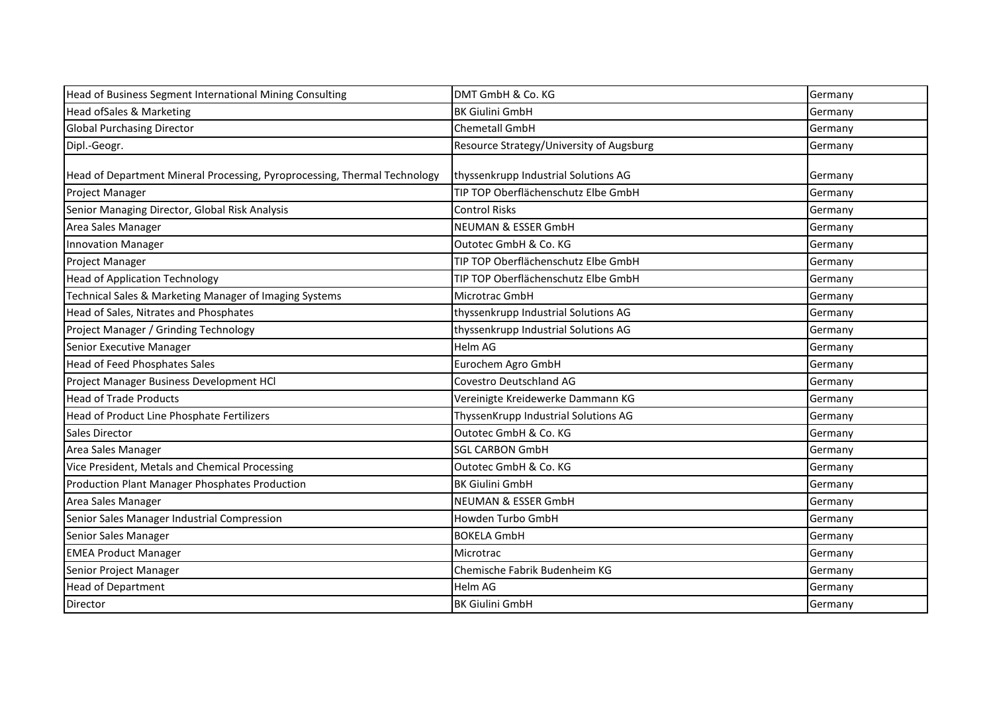| Head of Business Segment International Mining Consulting                  | DMT GmbH & Co. KG                        | Germany |
|---------------------------------------------------------------------------|------------------------------------------|---------|
| Head ofSales & Marketing                                                  | <b>BK Giulini GmbH</b>                   | Germany |
| <b>Global Purchasing Director</b>                                         | Chemetall GmbH                           | Germany |
| Dipl.-Geogr.                                                              | Resource Strategy/University of Augsburg | Germany |
|                                                                           |                                          |         |
| Head of Department Mineral Processing, Pyroprocessing, Thermal Technology | thyssenkrupp Industrial Solutions AG     | Germany |
| Project Manager                                                           | TIP TOP Oberflächenschutz Elbe GmbH      | Germany |
| Senior Managing Director, Global Risk Analysis                            | <b>Control Risks</b>                     | Germany |
| Area Sales Manager                                                        | <b>NEUMAN &amp; ESSER GmbH</b>           | Germany |
| <b>Innovation Manager</b>                                                 | Outotec GmbH & Co. KG                    | Germany |
| <b>Project Manager</b>                                                    | TIP TOP Oberflächenschutz Elbe GmbH      | Germany |
| <b>Head of Application Technology</b>                                     | TIP TOP Oberflächenschutz Elbe GmbH      | Germany |
| Technical Sales & Marketing Manager of Imaging Systems                    | Microtrac GmbH                           | Germany |
| Head of Sales, Nitrates and Phosphates                                    | thyssenkrupp Industrial Solutions AG     | Germany |
| Project Manager / Grinding Technology                                     | thyssenkrupp Industrial Solutions AG     | Germany |
| Senior Executive Manager                                                  | Helm AG                                  | Germany |
| <b>Head of Feed Phosphates Sales</b>                                      | Eurochem Agro GmbH                       | Germany |
| Project Manager Business Development HCl                                  | Covestro Deutschland AG                  | Germany |
| <b>Head of Trade Products</b>                                             | Vereinigte Kreidewerke Dammann KG        | Germany |
| Head of Product Line Phosphate Fertilizers                                | ThyssenKrupp Industrial Solutions AG     | Germany |
| Sales Director                                                            | Outotec GmbH & Co. KG                    | Germany |
| Area Sales Manager                                                        | <b>SGL CARBON GmbH</b>                   | Germany |
| Vice President, Metals and Chemical Processing                            | Outotec GmbH & Co. KG                    | Germany |
| Production Plant Manager Phosphates Production                            | <b>BK Giulini GmbH</b>                   | Germany |
| Area Sales Manager                                                        | <b>NEUMAN &amp; ESSER GmbH</b>           | Germany |
| Senior Sales Manager Industrial Compression                               | Howden Turbo GmbH                        | Germany |
| Senior Sales Manager                                                      | <b>BOKELA GmbH</b>                       | Germany |
| <b>EMEA Product Manager</b>                                               | Microtrac                                | Germany |
| Senior Project Manager                                                    | Chemische Fabrik Budenheim KG            | Germany |
| <b>Head of Department</b>                                                 | Helm AG                                  | Germany |
| Director                                                                  | <b>BK Giulini GmbH</b>                   | Germany |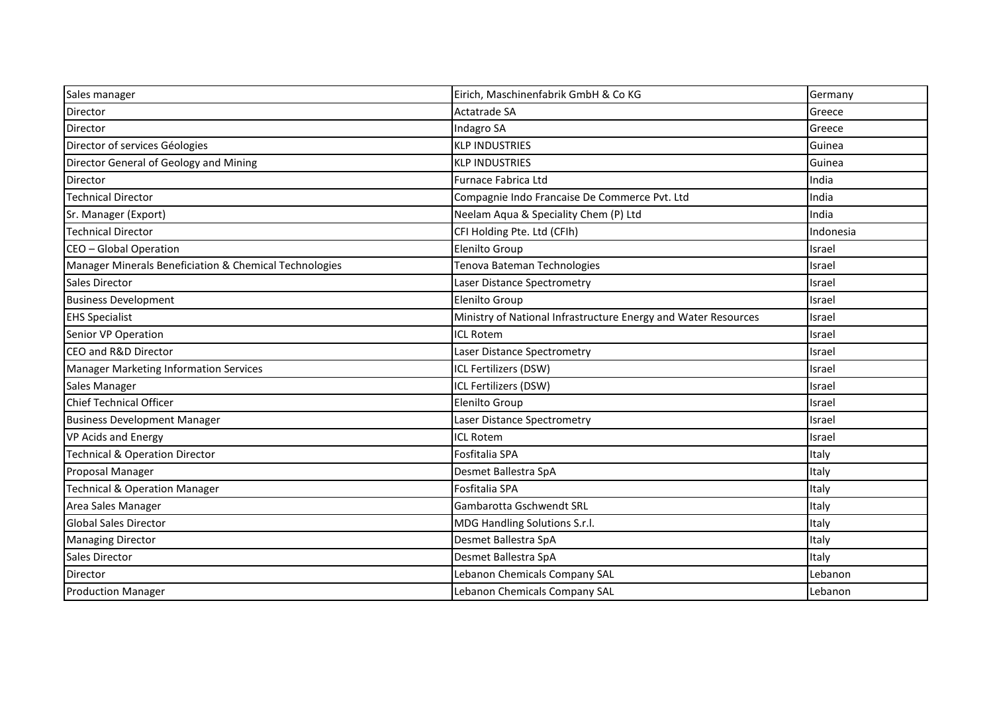| Sales manager                                          | Eirich, Maschinenfabrik GmbH & Co KG                           | Germany   |
|--------------------------------------------------------|----------------------------------------------------------------|-----------|
| <b>Director</b>                                        | Actatrade SA                                                   | Greece    |
| <b>Director</b>                                        | <b>Indagro SA</b>                                              | Greece    |
| Director of services Géologies                         | <b>KLP INDUSTRIES</b>                                          | Guinea    |
| Director General of Geology and Mining                 | <b>KLP INDUSTRIES</b>                                          | Guinea    |
| Director                                               | Furnace Fabrica Ltd                                            | India     |
| <b>Technical Director</b>                              | Compagnie Indo Francaise De Commerce Pvt. Ltd                  | India     |
| Sr. Manager (Export)                                   | Neelam Aqua & Speciality Chem (P) Ltd                          | India     |
| <b>Technical Director</b>                              | CFI Holding Pte. Ltd (CFIh)                                    | Indonesia |
| CEO - Global Operation                                 | <b>Elenilto Group</b>                                          | Israel    |
| Manager Minerals Beneficiation & Chemical Technologies | Tenova Bateman Technologies                                    | Israel    |
| <b>Sales Director</b>                                  | Laser Distance Spectrometry                                    | Israel    |
| <b>Business Development</b>                            | Elenilto Group                                                 | Israel    |
| <b>EHS Specialist</b>                                  | Ministry of National Infrastructure Energy and Water Resources | Israel    |
| Senior VP Operation                                    | <b>ICL Rotem</b>                                               | Israel    |
| CEO and R&D Director                                   | Laser Distance Spectrometry                                    | Israel    |
| Manager Marketing Information Services                 | ICL Fertilizers (DSW)                                          | Israel    |
| Sales Manager                                          | ICL Fertilizers (DSW)                                          | Israel    |
| <b>Chief Technical Officer</b>                         | Elenilto Group                                                 | Israel    |
| <b>Business Development Manager</b>                    | Laser Distance Spectrometry                                    | Israel    |
| <b>VP Acids and Energy</b>                             | <b>ICL Rotem</b>                                               | Israel    |
| <b>Technical &amp; Operation Director</b>              | Fosfitalia SPA                                                 | Italy     |
| Proposal Manager                                       | Desmet Ballestra SpA                                           | Italy     |
| <b>Technical &amp; Operation Manager</b>               | Fosfitalia SPA                                                 | Italy     |
| Area Sales Manager                                     | Gambarotta Gschwendt SRL                                       | Italy     |
| <b>Global Sales Director</b>                           | MDG Handling Solutions S.r.l.                                  | Italy     |
| <b>Managing Director</b>                               | Desmet Ballestra SpA                                           | Italy     |
| <b>Sales Director</b>                                  | Desmet Ballestra SpA                                           | Italy     |
| <b>Director</b>                                        | Lebanon Chemicals Company SAL                                  | Lebanon   |
| <b>Production Manager</b>                              | Lebanon Chemicals Company SAL                                  | Lebanon   |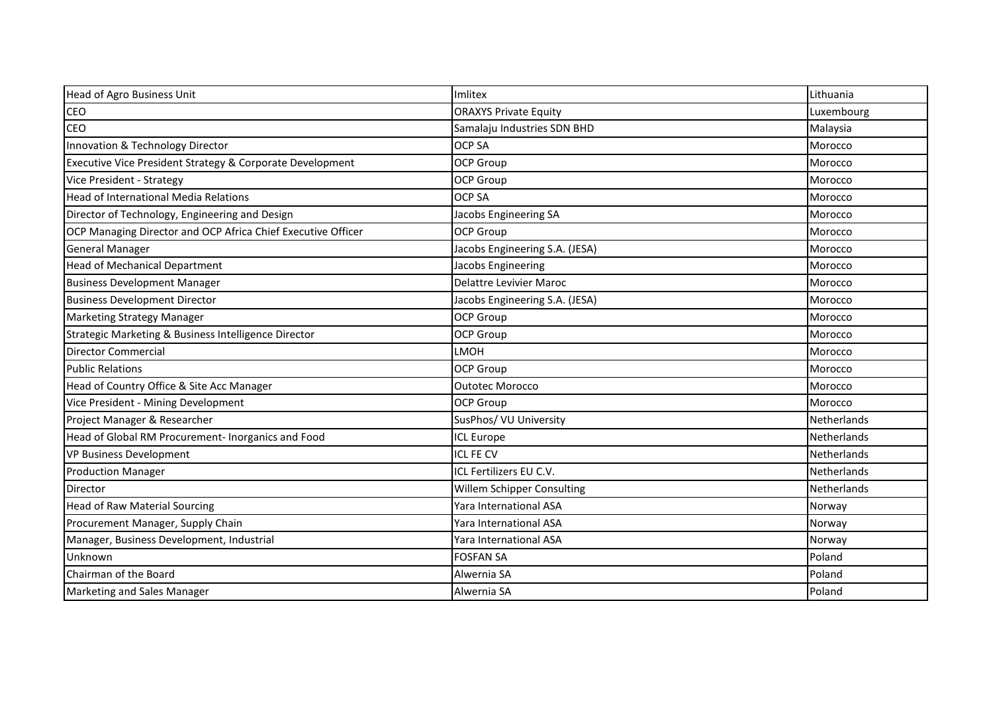| Head of Agro Business Unit                                   | Imlitex                        | Lithuania          |
|--------------------------------------------------------------|--------------------------------|--------------------|
| <b>CEO</b>                                                   | <b>ORAXYS Private Equity</b>   | Luxembourg         |
| <b>CEO</b>                                                   | Samalaju Industries SDN BHD    | Malaysia           |
| Innovation & Technology Director                             | <b>OCP SA</b>                  | Morocco            |
| Executive Vice President Strategy & Corporate Development    | <b>OCP Group</b>               | Morocco            |
| Vice President - Strategy                                    | <b>OCP Group</b>               | Morocco            |
| Head of International Media Relations                        | <b>OCP SA</b>                  | Morocco            |
| Director of Technology, Engineering and Design               | Jacobs Engineering SA          | Morocco            |
| OCP Managing Director and OCP Africa Chief Executive Officer | <b>OCP Group</b>               | Morocco            |
| <b>General Manager</b>                                       | Jacobs Engineering S.A. (JESA) | Morocco            |
| <b>Head of Mechanical Department</b>                         | Jacobs Engineering             | Morocco            |
| <b>Business Development Manager</b>                          | <b>Delattre Levivier Maroc</b> | Morocco            |
| <b>Business Development Director</b>                         | Jacobs Engineering S.A. (JESA) | Morocco            |
| <b>Marketing Strategy Manager</b>                            | <b>OCP Group</b>               | Morocco            |
| Strategic Marketing & Business Intelligence Director         | <b>OCP Group</b>               | Morocco            |
| <b>Director Commercial</b>                                   | LMOH                           | Morocco            |
| <b>Public Relations</b>                                      | <b>OCP Group</b>               | Morocco            |
| Head of Country Office & Site Acc Manager                    | <b>Outotec Morocco</b>         | Morocco            |
| Vice President - Mining Development                          | <b>OCP Group</b>               | Morocco            |
| Project Manager & Researcher                                 | SusPhos/ VU University         | Netherlands        |
| Head of Global RM Procurement- Inorganics and Food           | <b>ICL Europe</b>              | Netherlands        |
| VP Business Development                                      | <b>ICL FE CV</b>               | Netherlands        |
| <b>Production Manager</b>                                    | ICL Fertilizers EU C.V.        | Netherlands        |
| <b>Director</b>                                              | Willem Schipper Consulting     | <b>Netherlands</b> |
| <b>Head of Raw Material Sourcing</b>                         | Yara International ASA         | Norway             |
| Procurement Manager, Supply Chain                            | Yara International ASA         | Norway             |
| Manager, Business Development, Industrial                    | Yara International ASA         | Norway             |
| Unknown                                                      | <b>FOSFAN SA</b>               | Poland             |
| Chairman of the Board                                        | Alwernia SA                    | Poland             |
| Marketing and Sales Manager                                  | Alwernia SA                    | Poland             |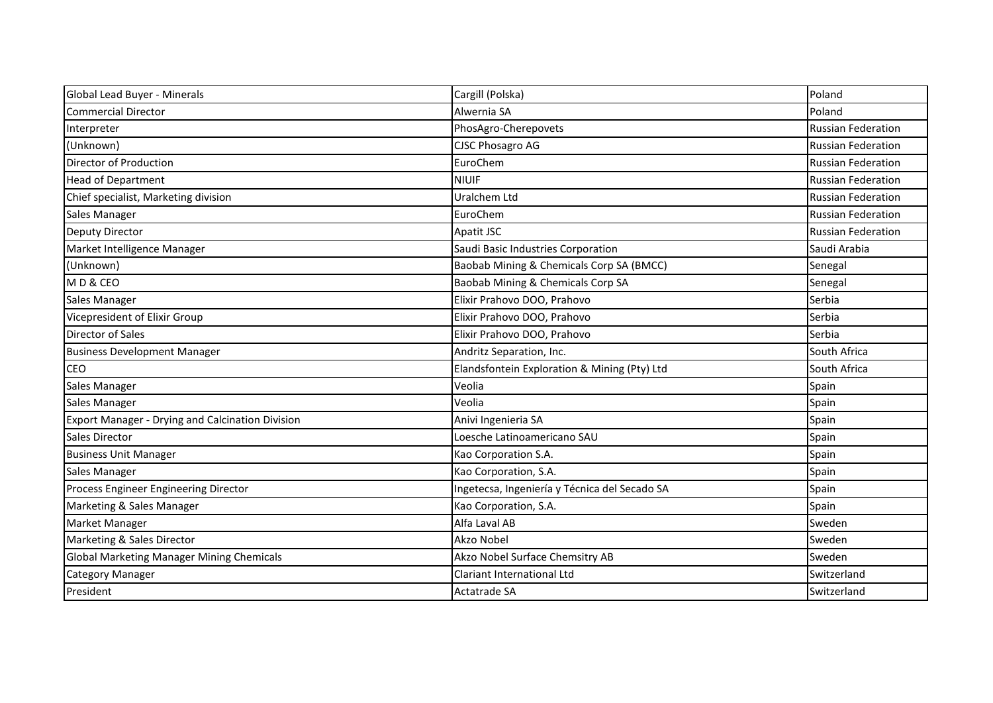| Global Lead Buyer - Minerals                            | Cargill (Polska)                              | Poland                    |
|---------------------------------------------------------|-----------------------------------------------|---------------------------|
| <b>Commercial Director</b>                              | Alwernia SA                                   | Poland                    |
| Interpreter                                             | PhosAgro-Cherepovets                          | <b>Russian Federation</b> |
| (Unknown)                                               | <b>CJSC Phosagro AG</b>                       | <b>Russian Federation</b> |
| Director of Production                                  | EuroChem                                      | <b>Russian Federation</b> |
| <b>Head of Department</b>                               | <b>NIUIF</b>                                  | <b>Russian Federation</b> |
| Chief specialist, Marketing division                    | Uralchem Ltd                                  | <b>Russian Federation</b> |
| Sales Manager                                           | EuroChem                                      | <b>Russian Federation</b> |
| <b>Deputy Director</b>                                  | Apatit JSC                                    | <b>Russian Federation</b> |
| Market Intelligence Manager                             | Saudi Basic Industries Corporation            | Saudi Arabia              |
| (Unknown)                                               | Baobab Mining & Chemicals Corp SA (BMCC)      | Senegal                   |
| MD&CEO                                                  | Baobab Mining & Chemicals Corp SA             | Senegal                   |
| <b>Sales Manager</b>                                    | Elixir Prahovo DOO, Prahovo                   | Serbia                    |
| Vicepresident of Elixir Group                           | Elixir Prahovo DOO, Prahovo                   | Serbia                    |
| <b>Director of Sales</b>                                | Elixir Prahovo DOO, Prahovo                   | Serbia                    |
| <b>Business Development Manager</b>                     | Andritz Separation, Inc.                      | South Africa              |
| <b>CEO</b>                                              | Elandsfontein Exploration & Mining (Pty) Ltd  | South Africa              |
| Sales Manager                                           | Veolia                                        | Spain                     |
| Sales Manager                                           | Veolia                                        | Spain                     |
| <b>Export Manager - Drying and Calcination Division</b> | Anivi Ingenieria SA                           | Spain                     |
| Sales Director                                          | Loesche Latinoamericano SAU                   | Spain                     |
| <b>Business Unit Manager</b>                            | Kao Corporation S.A.                          | Spain                     |
| Sales Manager                                           | Kao Corporation, S.A.                         | Spain                     |
| Process Engineer Engineering Director                   | Ingetecsa, Ingeniería y Técnica del Secado SA | Spain                     |
| Marketing & Sales Manager                               | Kao Corporation, S.A.                         | Spain                     |
| Market Manager                                          | Alfa Laval AB                                 | Sweden                    |
| Marketing & Sales Director                              | Akzo Nobel                                    | Sweden                    |
| Global Marketing Manager Mining Chemicals               | Akzo Nobel Surface Chemsitry AB               | Sweden                    |
| <b>Category Manager</b>                                 | Clariant International Ltd                    | Switzerland               |
| President                                               | Actatrade SA                                  | Switzerland               |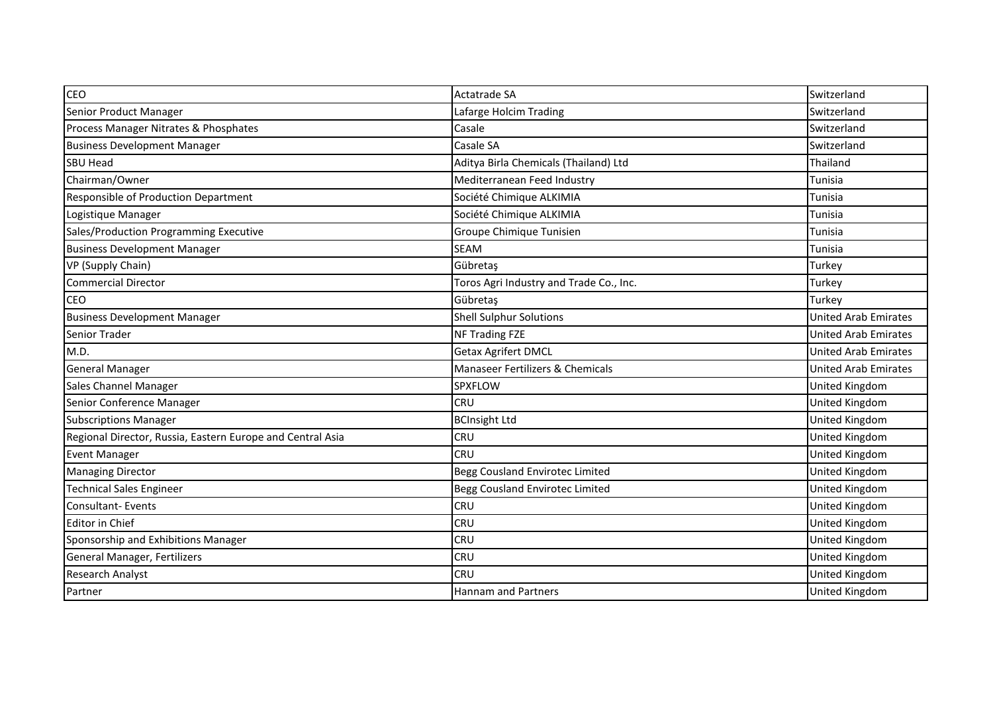| CEO                                                        | Actatrade SA                            | Switzerland                 |
|------------------------------------------------------------|-----------------------------------------|-----------------------------|
| Senior Product Manager                                     | Lafarge Holcim Trading                  | Switzerland                 |
| Process Manager Nitrates & Phosphates                      | Casale                                  | Switzerland                 |
| <b>Business Development Manager</b>                        | Casale SA                               | Switzerland                 |
| <b>SBU Head</b>                                            | Aditya Birla Chemicals (Thailand) Ltd   | Thailand                    |
| Chairman/Owner                                             | Mediterranean Feed Industry             | Tunisia                     |
| Responsible of Production Department                       | Société Chimique ALKIMIA                | Tunisia                     |
| Logistique Manager                                         | Société Chimique ALKIMIA                | Tunisia                     |
| Sales/Production Programming Executive                     | Groupe Chimique Tunisien                | Tunisia                     |
| <b>Business Development Manager</b>                        | <b>SEAM</b>                             | Tunisia                     |
| VP (Supply Chain)                                          | Gübretaş                                | Turkey                      |
| <b>Commercial Director</b>                                 | Toros Agri Industry and Trade Co., Inc. | Turkey                      |
| CEO                                                        | Gübretaş                                | Turkey                      |
| <b>Business Development Manager</b>                        | <b>Shell Sulphur Solutions</b>          | <b>United Arab Emirates</b> |
| Senior Trader                                              | <b>NF Trading FZE</b>                   | <b>United Arab Emirates</b> |
| M.D.                                                       | <b>Getax Agrifert DMCL</b>              | <b>United Arab Emirates</b> |
| <b>General Manager</b>                                     | Manaseer Fertilizers & Chemicals        | <b>United Arab Emirates</b> |
| Sales Channel Manager                                      | SPXFLOW                                 | United Kingdom              |
| Senior Conference Manager                                  | <b>CRU</b>                              | United Kingdom              |
| <b>Subscriptions Manager</b>                               | <b>BCInsight Ltd</b>                    | United Kingdom              |
| Regional Director, Russia, Eastern Europe and Central Asia | <b>CRU</b>                              | United Kingdom              |
| <b>Event Manager</b>                                       | <b>CRU</b>                              | United Kingdom              |
| <b>Managing Director</b>                                   | Begg Cousland Envirotec Limited         | United Kingdom              |
| <b>Technical Sales Engineer</b>                            | Begg Cousland Envirotec Limited         | United Kingdom              |
| <b>Consultant-Events</b>                                   | <b>CRU</b>                              | United Kingdom              |
| Editor in Chief                                            | <b>CRU</b>                              | United Kingdom              |
| Sponsorship and Exhibitions Manager                        | <b>CRU</b>                              | United Kingdom              |
| General Manager, Fertilizers                               | <b>CRU</b>                              | United Kingdom              |
| Research Analyst                                           | <b>CRU</b>                              | United Kingdom              |
| Partner                                                    | <b>Hannam and Partners</b>              | United Kingdom              |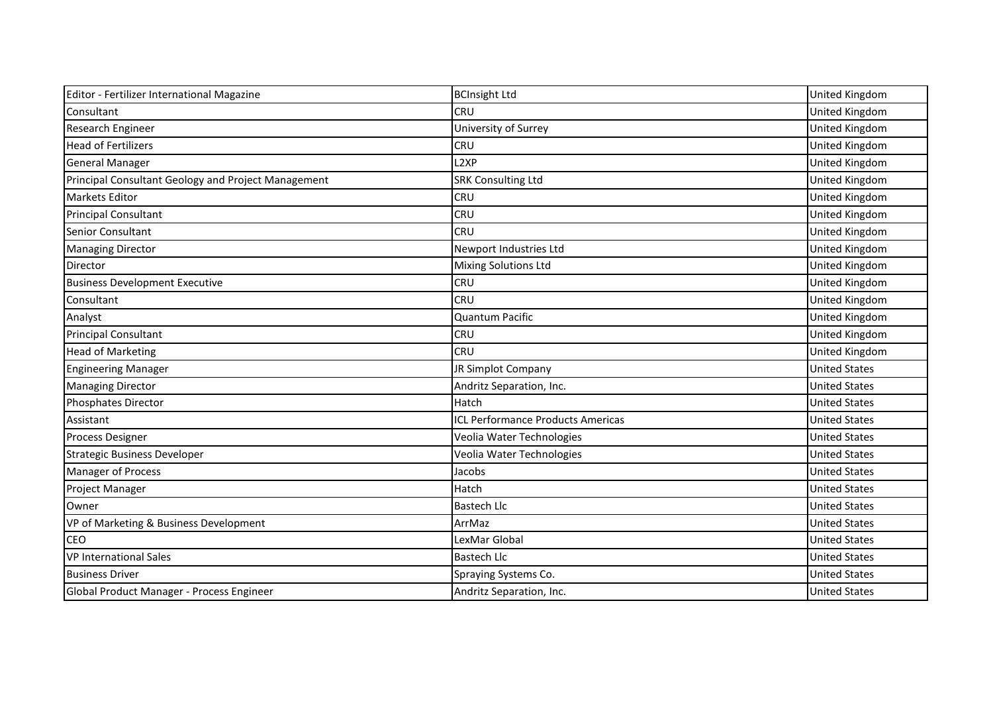| Editor - Fertilizer International Magazine          | <b>BCInsight Ltd</b>                     | <b>United Kingdom</b> |
|-----------------------------------------------------|------------------------------------------|-----------------------|
| Consultant                                          | <b>CRU</b>                               | United Kingdom        |
| Research Engineer                                   | University of Surrey                     | United Kingdom        |
| <b>Head of Fertilizers</b>                          | <b>CRU</b>                               | United Kingdom        |
| <b>General Manager</b>                              | L <sub>2</sub> XP                        | United Kingdom        |
| Principal Consultant Geology and Project Management | <b>SRK Consulting Ltd</b>                | United Kingdom        |
| <b>Markets Editor</b>                               | <b>CRU</b>                               | United Kingdom        |
| <b>Principal Consultant</b>                         | <b>CRU</b>                               | United Kingdom        |
| <b>Senior Consultant</b>                            | <b>CRU</b>                               | United Kingdom        |
| <b>Managing Director</b>                            | Newport Industries Ltd                   | United Kingdom        |
| Director                                            | <b>Mixing Solutions Ltd</b>              | United Kingdom        |
| <b>Business Development Executive</b>               | <b>CRU</b>                               | United Kingdom        |
| Consultant                                          | <b>CRU</b>                               | United Kingdom        |
| Analyst                                             | <b>Quantum Pacific</b>                   | United Kingdom        |
| <b>Principal Consultant</b>                         | <b>CRU</b>                               | United Kingdom        |
| <b>Head of Marketing</b>                            | <b>CRU</b>                               | United Kingdom        |
| <b>Engineering Manager</b>                          | JR Simplot Company                       | <b>United States</b>  |
| <b>Managing Director</b>                            | Andritz Separation, Inc.                 | <b>United States</b>  |
| Phosphates Director                                 | Hatch                                    | <b>United States</b>  |
| Assistant                                           | <b>ICL Performance Products Americas</b> | <b>United States</b>  |
| <b>Process Designer</b>                             | Veolia Water Technologies                | <b>United States</b>  |
| <b>Strategic Business Developer</b>                 | Veolia Water Technologies                | <b>United States</b>  |
| <b>Manager of Process</b>                           | Jacobs                                   | <b>United States</b>  |
| <b>Project Manager</b>                              | Hatch                                    | <b>United States</b>  |
| Owner                                               | <b>Bastech Llc</b>                       | <b>United States</b>  |
| VP of Marketing & Business Development              | ArrMaz                                   | <b>United States</b>  |
| <b>CEO</b>                                          | LexMar Global                            | <b>United States</b>  |
| <b>VP International Sales</b>                       | <b>Bastech Llc</b>                       | <b>United States</b>  |
| <b>Business Driver</b>                              | Spraying Systems Co.                     | <b>United States</b>  |
| Global Product Manager - Process Engineer           | Andritz Separation, Inc.                 | <b>United States</b>  |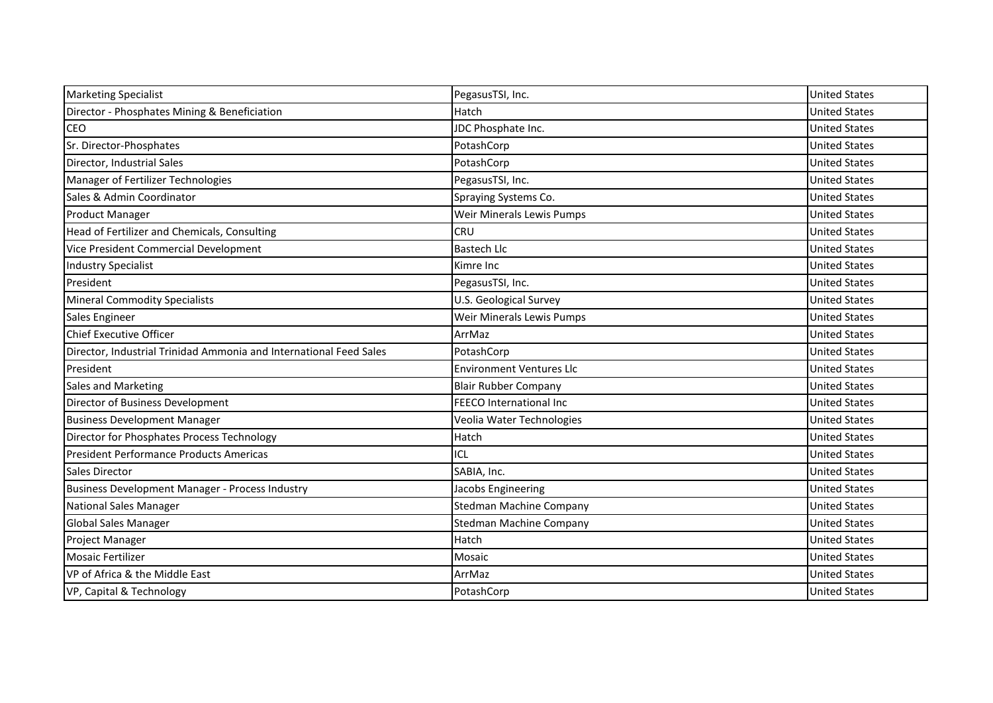| <b>Marketing Specialist</b>                                        | PegasusTSI, Inc.                | <b>United States</b> |
|--------------------------------------------------------------------|---------------------------------|----------------------|
| Director - Phosphates Mining & Beneficiation                       | Hatch                           | <b>United States</b> |
| <b>CEO</b>                                                         | JDC Phosphate Inc.              | <b>United States</b> |
|                                                                    |                                 |                      |
| Sr. Director-Phosphates                                            | PotashCorp                      | <b>United States</b> |
| Director, Industrial Sales                                         | PotashCorp                      | <b>United States</b> |
| Manager of Fertilizer Technologies                                 | PegasusTSI, Inc.                | <b>United States</b> |
| Sales & Admin Coordinator                                          | Spraying Systems Co.            | <b>United States</b> |
| <b>Product Manager</b>                                             | Weir Minerals Lewis Pumps       | <b>United States</b> |
| Head of Fertilizer and Chemicals, Consulting                       | <b>CRU</b>                      | <b>United States</b> |
| Vice President Commercial Development                              | <b>Bastech Llc</b>              | <b>United States</b> |
| <b>Industry Specialist</b>                                         | Kimre Inc                       | <b>United States</b> |
| President                                                          | PegasusTSI, Inc.                | <b>United States</b> |
| <b>Mineral Commodity Specialists</b>                               | U.S. Geological Survey          | <b>United States</b> |
| Sales Engineer                                                     | Weir Minerals Lewis Pumps       | <b>United States</b> |
| <b>Chief Executive Officer</b>                                     | ArrMaz                          | <b>United States</b> |
| Director, Industrial Trinidad Ammonia and International Feed Sales | PotashCorp                      | <b>United States</b> |
| President                                                          | <b>Environment Ventures Llc</b> | <b>United States</b> |
| <b>Sales and Marketing</b>                                         | <b>Blair Rubber Company</b>     | <b>United States</b> |
| Director of Business Development                                   | FEECO International Inc.        | <b>United States</b> |
| <b>Business Development Manager</b>                                | Veolia Water Technologies       | <b>United States</b> |
| Director for Phosphates Process Technology                         | Hatch                           | <b>United States</b> |
| President Performance Products Americas                            | ICL                             | <b>United States</b> |
| Sales Director                                                     | SABIA, Inc.                     | <b>United States</b> |
| Business Development Manager - Process Industry                    | Jacobs Engineering              | <b>United States</b> |
| <b>National Sales Manager</b>                                      | <b>Stedman Machine Company</b>  | <b>United States</b> |
| Global Sales Manager                                               | <b>Stedman Machine Company</b>  | <b>United States</b> |
| Project Manager                                                    | Hatch                           | <b>United States</b> |
| <b>Mosaic Fertilizer</b>                                           | Mosaic                          | <b>United States</b> |
| VP of Africa & the Middle East                                     | ArrMaz                          | <b>United States</b> |
| VP, Capital & Technology                                           | PotashCorp                      | <b>United States</b> |